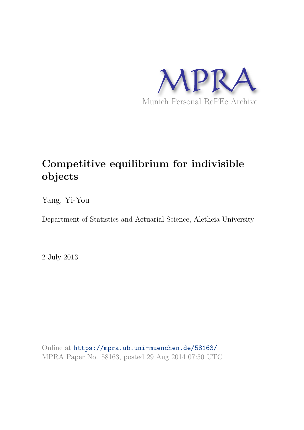

# **Competitive equilibrium for indivisible objects**

Yang, Yi-You

Department of Statistics and Actuarial Science, Aletheia University

2 July 2013

Online at https://mpra.ub.uni-muenchen.de/58163/ MPRA Paper No. 58163, posted 29 Aug 2014 07:50 UTC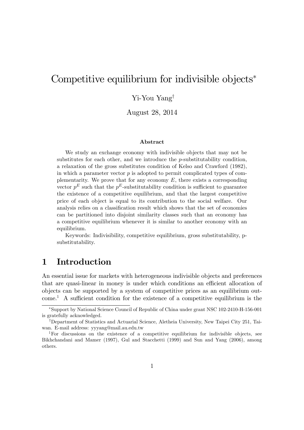## Competitive equilibrium for indivisible objects<sup>\*</sup>

#### $Y$ i-You Yang<sup>†</sup>

August 28, 2014

#### Abstract

We study an exchange economy with indivisible objects that may not be substitutes for each other, and we introduce the p-substitutability condition, a relaxation of the gross substitutes condition of Kelso and Crawford (1982), in which a parameter vector  $p$  is adopted to permit complicated types of complementarity. We prove that for any economy  $E$ , there exists a corresponding vector  $p<sup>E</sup>$  such that the  $p<sup>E</sup>$ -substitutability condition is sufficient to guarantee the existence of a competitive equilibrium, and that the largest competitive price of each object is equal to its contribution to the social welfare. Our analysis relies on a classification result which shows that the set of economies can be partitioned into disjoint similarity classes such that an economy has a competitive equilibrium whenever it is similar to another economy with an equilibrium.

Keywords: Indivisibility, competitive equilibrium, gross substitutability, psubstitutability.

### 1 Introduction

An essential issue for markets with heterogeneous indivisible objects and preferences that are quasi-linear in money is under which conditions an efficient allocation of objects can be supported by a system of competitive prices as an equilibrium outcome.<sup>1</sup> A sufficient condition for the existence of a competitive equilibrium is the

Support by National Science Council of Republic of China under grant NSC 102-2410-H-156-001 is gratefully acknowledged.

<sup>&</sup>lt;sup>†</sup>Department of Statistics and Actuarial Science, Aletheia University, New Taipei City 251, Taiwan. E-mail address: yyyang@mail.au.edu.tw

<sup>&</sup>lt;sup>1</sup>For discussions on the existence of a competitive equilibrium for indivisible objects, see Bikhchandani and Mamer (1997), Gul and Stacchetti (1999) and Sun and Yang (2006), among others.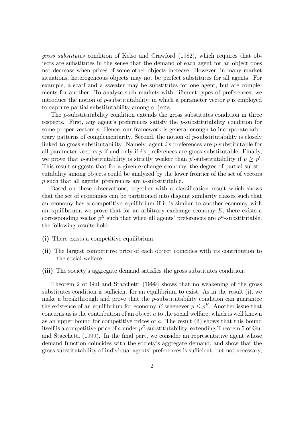gross substitutes condition of Kelso and Crawford (1982), which requires that objects are substitutes in the sense that the demand of each agent for an object does not decrease when prices of some other objects increase. However, in many market situations, heterogeneous objects may not be perfect substitutes for all agents. For example, a scarf and a sweater may be substitutes for one agent, but are complements for another. To analyze such markets with different types of preferences, we introduce the notion of  $p$ -substitutability, in which a parameter vector  $p$  is employed to capture partial substitutability among objects.

The p-substitutability condition extends the gross substitutes condition in three respects. First, any agent's preferences satisfy the  $p$ -substitutability condition for some proper vectors  $p$ . Hence, our framework is general enough to incorporate arbitrary patterns of complementarity. Second, the notion of p-substitutability is closely linked to gross substitutability. Namely, agent  $i$ 's preferences are p-substitutable for all parameter vectors  $p$  if and only if is preferences are gross substitutable. Finally, we prove that p-substitutability is strictly weaker than p'-substitutability if  $p \geq p'$ . This result suggests that for a given exchange economy, the degree of partial substitutability among objects could be analyzed by the lower frontier of the set of vectors  $p$  such that all agents' preferences are  $p$ -substitutable.

Based on these observations, together with a classification result which shows that the set of economies can be partitioned into disjoint similarity classes such that an economy has a competitive equilibrium if it is similar to another economy with an equilibrium, we prove that for an arbitrary exchange economy  $E$ , there exists a corresponding vector  $p^E$  such that when all agents' preferences are  $p^E$ -substitutable, the following results hold:

- (i) There exists a competitive equilibrium.
- (ii) The largest competitive price of each object coincides with its contribution to the social welfare.
- (iii) The society's aggregate demand satisfies the gross substitutes condition.

Theorem 2 of Gul and Stacchetti (1999) shows that no weakening of the gross substitutes condition is sufficient for an equilibrium to exist. As in the result  $(i)$ , we make a breakthrough and prove that the *p*-substitutability condition can guarantee the existence of an equilibrium for economy E whenever  $p \leq p^{E}$ . Another issue that concerns us is the contribution of an object  $a$  to the social welfare, which is well known as an upper bound for competitive prices of a. The result (ii) shows that this bound itself is a competitive price of a under  $p^E$ -substitutability, extending Theorem 5 of Gul and Stacchetti (1999). In the final part, we consider an representative agent whose demand function coincides with the society's aggregate demand, and show that the gross substitutability of individual agents' preferences is sufficient, but not necessary,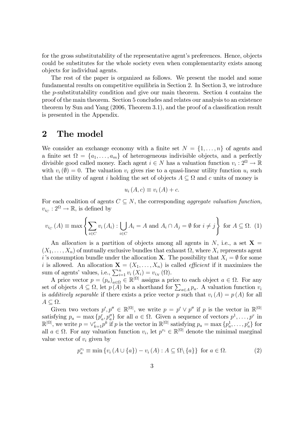for the gross substitutability of the representative agent's preferences. Hence, objects could be substitutes for the whole society even when complementarity exists among objects for individual agents.

The rest of the paper is organized as follows. We present the model and some fundamental results on competitive equilibria in Section 2. In Section 3, we introduce the p-substitutability condition and give our main theorem. Section 4 contains the proof of the main theorem. Section 5 concludes and relates our analysis to an existence theorem by Sun and Yang  $(2006,$  Theorem 3.1), and the proof of a classification result is presented in the Appendix.

#### 2 The model

We consider an exchange economy with a finite set  $N = \{1, \ldots, n\}$  of agents and a finite set  $\Omega = \{a_1, \ldots, a_m\}$  of heterogeneous indivisible objects, and a perfectly divisible good called money. Each agent  $i \in N$  has a valuation function  $v_i : 2^{\Omega} \to \mathbb{R}$ with  $v_i(\emptyset) = 0$ . The valuation  $v_i$  gives rise to a quasi-linear utility function  $u_i$  such that the utility of agent i holding the set of objects  $A \subseteq \Omega$  and c units of money is

$$
u_i(A, c) \equiv v_i(A) + c.
$$

For each coalition of agents  $C \subseteq N$ , the corresponding aggregate valuation function,  $v_{i_C} : 2^{\Omega} \to \mathbb{R}$ , is defined by

$$
v_{i_C}(A) \equiv \max \left\{ \sum_{i \in C} v_i(A_i) : \bigcup_{i \in C} A_i = A \text{ and } A_i \cap A_j = \emptyset \text{ for } i \neq j \right\} \text{ for } A \subseteq \Omega. \tag{1}
$$

An *allocation* is a partition of objects among all agents in N, i.e., a set  $X =$  $(X_1, \ldots, X_n)$  of mutually exclusive bundles that exhaust  $\Omega$ , where  $X_i$  represents agent i's consumption bundle under the allocation **X**. The possibility that  $X_i = \emptyset$  for some i is allowed. An allocation  $\mathbf{X} = (X_1, \ldots, X_n)$  is called *efficient* if it maximizes the sum of agents' values, i.e.,  $\sum_{i=1}^{n} v_i(X_i) = v_{i_N}(\Omega)$ .

A price vector  $p = (p_a)_{a \in \Omega} \in \mathbb{R}^{|\Omega|}$  assigns a price to each object  $a \in \Omega$ . For any set of objects  $A \subseteq \Omega$ , let  $p(A)$  be a shorthand for  $\sum_{a \in A} p_a$ . A valuation function  $v_i$ is additively separable if there exists a price vector p such that  $v_i(A) = p(A)$  for all  $A \subseteq \Omega$ .

Given two vectors  $p', p'' \in \mathbb{R}^{|\Omega|}$ , we write  $p = p' \vee p''$  if p is the vector in  $\mathbb{R}^{|\Omega|}$ satisfying  $p_a = \max \{p'_a, p''_a\}$  for all  $a \in \Omega$ . Given a sequence of vectors  $p^1, \ldots, p^r$  in  $\mathbb{R}^{|\Omega|}$ , we write  $p = \vee_{k=1}^r p^k$  if p is the vector in  $\mathbb{R}^{|\Omega|}$  satisfying  $p_a = \max \{p_a^1, \ldots, p_a^r\}$  for all  $a \in \Omega$ . For any valuation function  $v_i$ , let  $p^{v_i} \in \mathbb{R}^{|\Omega|}$  denote the minimal marginal value vector of  $v_i$  given by

$$
p_a^{v_i} \equiv \min \{ v_i \left( A \cup \{a\} \right) - v_i \left( A \right) : A \subseteq \Omega \setminus \{a\} \} \text{ for } a \in \Omega. \tag{2}
$$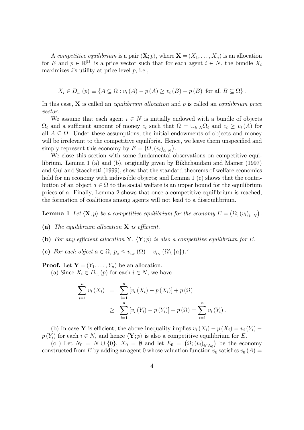A competitive equilibrium is a pair  $\langle \mathbf{X}; p \rangle$ , where  $\mathbf{X} = (X_1, \ldots, X_n)$  is an allocation for E and  $p \in \mathbb{R}^{|\Omega|}$  is a price vector such that for each agent  $i \in N$ , the bundle  $X_i$ maximizes is utility at price level  $p$ , i.e.,

$$
X_i \in D_{v_i}(p) \equiv \{ A \subseteq \Omega : v_i(A) - p(A) \ge v_i(B) - p(B) \text{ for all } B \subseteq \Omega \}.
$$

In this case,  $X$  is called an *equilibrium allocation* and p is called an *equilibrium price* vector.

We assume that each agent  $i \in N$  is initially endowed with a bundle of objects  $\Omega_i$  and a sufficient amount of money  $c_i$  such that  $\Omega = \cup_{i \in N} \Omega_i$  and  $c_i \ge v_i(A)$  for all  $A \subseteq \Omega$ . Under these assumptions, the initial endowments of objects and money will be irrelevant to the competitive equilibria. Hence, we leave them unspecified and simply represent this economy by  $E = (\Omega; (v_i)_{i \in N}).$ 

We close this section with some fundamental observations on competitive equilibrium. Lemma 1 (a) and (b), originally given by Bikhchandani and Mamer (1997) and Gul and Stacchetti (1999), show that the standard theorems of welfare economics hold for an economy with indivisible objects; and Lemma 1 (c) shows that the contribution of an object  $a \in \Omega$  to the social welfare is an upper bound for the equilibrium prices of a. Finally, Lemma 2 shows that once a competitive equilibrium is reached, the formation of coalitions among agents will not lead to a disequilibrium.

**Lemma 1** Let  $\langle \mathbf{X}; p \rangle$  be a competitive equilibrium for the economy  $E = (\Omega; (v_i)_{i \in N})$ .

- (a) The equilibrium allocation  $X$  is efficient.
- (b) For any efficient allocation Y,  $\langle Y;p \rangle$  is also a competitive equilibrium for E.
- (c) For each object  $a \in \Omega$ ,  $p_a \leq v_{i_N}(\Omega) v_{i_N}(\Omega \setminus \{a\})$ .

**Proof.** Let  $\mathbf{Y} = (Y_1, \ldots, Y_n)$  be an allocation.

(a) Since  $X_i \in D_{v_i}(p)$  for each  $i \in N$ , we have

$$
\sum_{i=1}^{n} v_i (X_i) = \sum_{i=1}^{n} [v_i (X_i) - p(X_i)] + p(\Omega)
$$
  
 
$$
\geq \sum_{i=1}^{n} [v_i (Y_i) - p(Y_i)] + p(\Omega) = \sum_{i=1}^{n} v_i (Y_i).
$$

(b) In case Y is efficient, the above inequality implies  $v_i(X_i) - p(X_i) = v_i(Y_i) - p(Y_i)$  $p(Y_i)$  for each  $i \in N$ , and hence  $\langle \mathbf{Y}; p \rangle$  is also a competitive equilibrium for E.

(c) Let  $N_0 = N \cup \{0\}$ ,  $X_0 = \emptyset$  and let  $E_0 = (\Omega; (v_i)_{i \in N_0})$  be the economy constructed from E by adding an agent 0 whose valuation function  $v_0$  satisfies  $v_0(A)$  =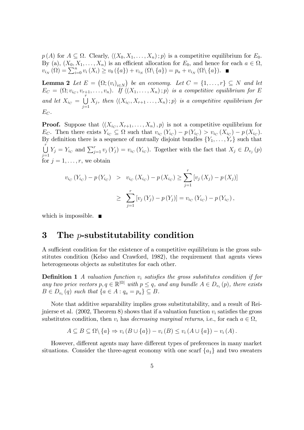$p(A)$  for  $A \subseteq \Omega$ . Clearly,  $\langle (X_0, X_1, \ldots, X_n) : p \rangle$  is a competitive equilibrium for  $E_0$ . By (a),  $(X_0, X_1, \ldots, X_n)$  is an efficient allocation for  $E_0$ , and hence for each  $a \in \Omega$ ,  $v_{i_N}(\Omega) = \sum_{i=0}^n v_i(X_i) \ge v_0(\{a\}) + v_{i_N}(\Omega \setminus \{a\}) = p_a + v_{i_N}(\Omega \setminus \{a\}).$ 

**Lemma 2** Let  $E = (\Omega; (v_i)_{i \in N})$  be an economy. Let  $C = \{1, \ldots, r\} \subseteq N$  and let  $E_C = (\Omega; v_{i_C}, v_{r+1}, \ldots, v_n)$ . If  $\langle (X_1, \ldots, X_n); p \rangle$  is a competitive equilibrium for E and let  $X_{i_C} = \bigcup^r$  $\bigcup_{j=1} X_j$ , then  $\langle (X_{i_C}, X_{r+1} \ldots, X_n) ; p \rangle$  is a competitive equilibrium for  $E_C$ .

**Proof.** Suppose that  $\langle (X_{i_C}, X_{r+1}, \ldots, X_n), p \rangle$  is not a competitive equilibrium for  $E_C$ . Then there exists  $Y_{i_C} \subseteq \Omega$  such that  $v_{i_C}(Y_{i_C}) - p(Y_{i_C}) > v_{i_C}(X_{i_C}) - p(X_{i_C})$ . By definition there is a sequence of mutually disjoint bundles  ${Y_1, \ldots, Y_r}$  such that  $\begin{bmatrix} r \\ \end{bmatrix}$  $\bigcup_{j=1}^{l} Y_j = Y_{i_C}$  and  $\sum_{j=1}^{r} v_j(Y_j) = v_{i_C}(Y_{i_C})$ . Together with the fact that  $X_j \in D_{v_j}(p)$ for  $j = 1, \ldots, r$ , we obtain

$$
v_{i_C}(Y_{i_C}) - p(Y_{i_C}) > v_{i_C}(X_{i_C}) - p(X_{i_C}) \ge \sum_{j=1}^r [v_j(X_j) - p(X_j)]
$$
  
 
$$
\ge \sum_{j=1}^r [v_j(Y_j) - p(Y_j)] = v_{i_C}(Y_{i_C}) - p(Y_{i_C}),
$$

which is impossible.  $\blacksquare$ 

#### 3 The p-substitutability condition

A sufficient condition for the existence of a competitive equilibrium is the gross substitutes condition (Kelso and Crawford, 1982), the requirement that agents views heterogeneous objects as substitutes for each other.

**Definition 1** A valuation function  $v_i$  satisfies the gross substitutes condition if for any two price vectors  $p, q \in \mathbb{R}^{|\Omega|}$  with  $p \leq q$ , and any bundle  $A \in D_{v_i}(p)$ , there exists  $B \in D_{v_i}(q)$  such that  $\{a \in A : q_a = p_a\} \subseteq B$ .

Note that additive separability implies gross substitutability, and a result of Reijnierse et al. (2002, Theorem 8) shows that if a valuation function  $v_i$  satisfies the gross substitutes condition, then  $v_i$  has *decreasing marginal returns*, i.e., for each  $a \in \Omega$ ,

$$
A \subseteq B \subseteq \Omega \setminus \{a\} \Rightarrow v_i (B \cup \{a\}) - v_i (B) \le v_i (A \cup \{a\}) - v_i (A).
$$

However, different agents may have different types of preferences in many market situations. Consider the three-agent economy with one scarf  ${a_1}$  and two sweaters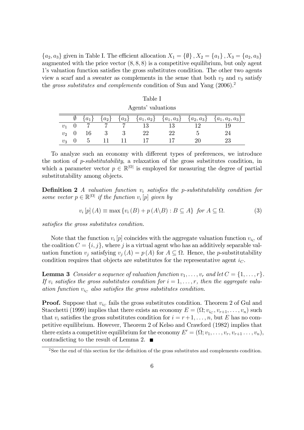${a_2, a_3}$  given in Table I. The efficient allocation  $X_1 = {\emptyset}, X_2 = {a_1}, X_3 = {a_2, a_3}$ augmented with the price vector  $(8, 8, 8)$  is a competitive equilibrium, but only agent 1's valuation function satisfies the gross substitutes condition. The other two agents view a scarf and a sweater as complements in the sense that both  $v_2$  and  $v_3$  satisfy the gross substitutes and complements condition of Sun and Yang (2006).<sup>2</sup>

| Agents' valuations |  |           |           |  |    |  |                                                            |                     |  |  |
|--------------------|--|-----------|-----------|--|----|--|------------------------------------------------------------|---------------------|--|--|
|                    |  | $\{a_1\}$ | $\{a_2\}$ |  |    |  | ${a_3} \quad {a_1, a_2} \quad {a_1, a_3} \quad {a_2, a_3}$ | $\{a_1, a_2, a_3\}$ |  |  |
|                    |  |           |           |  |    |  |                                                            |                     |  |  |
| $v_{2}$            |  |           |           |  | າາ |  |                                                            | 24                  |  |  |
|                    |  |           |           |  |    |  |                                                            |                     |  |  |

 $\mathcal{L}_{\alpha}$ 

Table I

To analyze such an economy with different types of preferences, we introduce the notion of p-substitutability, a relaxation of the gross substitutes condition, in which a parameter vector  $p \in \mathbb{R}^{|\Omega|}$  is employed for measuring the degree of partial substitutability among objects.

**Definition 2** A valuation function  $v_i$  satisfies the p-substitutability condition for some vector  $p \in \mathbb{R}^{|\Omega|}$  if the function  $v_i[p]$  given by

$$
v_i[p](A) \equiv \max \{ v_i(B) + p(A \setminus B) : B \subseteq A \} \text{ for } A \subseteq \Omega. \tag{3}
$$

satisfies the gross substitutes condition.

Note that the function  $v_i[p]$  coincides with the aggregate valuation function  $v_{i_C}$  of the coalition  $C = \{i, j\}$ , where j is a virtual agent who has an additively separable valuation function  $v_j$  satisfying  $v_j(A) = p(A)$  for  $A \subseteq \Omega$ . Hence, the *p*-substitutability condition requires that objects are substitutes for the representative agent  $i<sub>C</sub>$ .

**Lemma 3** Consider a sequence of valuation function  $v_1, \ldots, v_r$  and let  $C = \{1, \ldots, r\}$ . If  $v_i$  satisfies the gross substitutes condition for  $i = 1, \ldots, r$ , then the aggregate valuation function  $v_{i_C}$  also satisfies the gross substitutes condition.

**Proof.** Suppose that  $v_{i_C}$  fails the gross substitutes condition. Theorem 2 of Gul and Stacchetti (1999) implies that there exists an economy  $E = (\Omega; v_{i_C}, v_{r+1}, \dots, v_n)$  such that  $v_i$  satisfies the gross substitutes condition for  $i = r+1, \ldots, n$ , but E has no competitive equilibrium. However, Theorem 2 of Kelso and Crawford (1982) implies that there exists a competitive equilibrium for the economy  $E' = (\Omega; v_1, \ldots, v_r, v_{r+1} \ldots, v_n)$ , contradicting to the result of Lemma 2.

 $2$ See the end of this section for the definition of the gross substitutes and complements condition.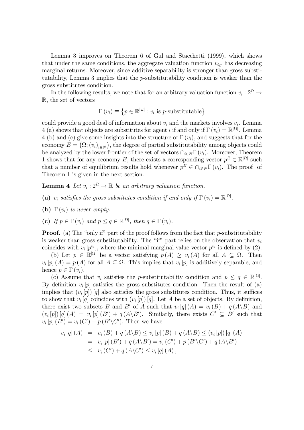Lemma 3 improves on Theorem 6 of Gul and Stacchetti (1999), which shows that under the same conditions, the aggregate valuation function  $v_{i_C}$  has decreasing marginal returns. Moreover, since additive separability is stronger than gross substitutability, Lemma 3 implies that the p-substitutability condition is weaker than the gross substitutes condition.

In the following results, we note that for an arbitrary valuation function  $v_i : 2^{\Omega} \rightarrow$ R, the set of vectors

$$
\Gamma(v_i) \equiv \{ p \in \mathbb{R}^{|\Omega|} : v_i \text{ is } p\text{-substitutable} \}
$$

could provide a good deal of information about  $v_i$  and the markets involves  $v_i$ . Lemma 4 (a) shows that objects are substitutes for agent *i* if and only if  $\Gamma(v_i) = \mathbb{R}^{|\Omega|}$ . Lemma 4 (b) and (c) give some insights into the structure of  $\Gamma(v_i)$ , and suggests that for the economy  $E = (\Omega; (v_i)_{i \in N})$ , the degree of partial substitutability among objects could be analyzed by the lower frontier of the set of vectors  $\bigcap_{i\in N} \Gamma(v_i)$ . Moreover, Theorem 1 shows that for any economy E, there exists a corresponding vector  $p^E \in \mathbb{R}^{|\Omega|}$  such that a number of equilibrium results hold whenever  $p^E \in \cap_{i \in N} \Gamma(v_i)$ . The proof of Theorem 1 is given in the next section.

**Lemma 4** Let  $v_i : 2^{\Omega} \to \mathbb{R}$  be an arbitrary valuation function.

- (a)  $v_i$  satisfies the gross substitutes condition if and only if  $\Gamma(v_i) = \mathbb{R}^{|\Omega|}$ .
- (b)  $\Gamma(v_i)$  is never empty.
- (c) If  $p \in \Gamma(v_i)$  and  $p \le q \in \mathbb{R}^{|\Omega|}$ , then  $q \in \Gamma(v_i)$ .

**Proof.** (a) The "only if" part of the proof follows from the fact that p-substitutability is weaker than gross substitutability. The "if" part relies on the observation that  $v_i$ coincides with  $v_i[p^{v_i}]$ , where the minimal marginal value vector  $p^{v_i}$  is defined by (2).

(b) Let  $p \in \mathbb{R}^{|\Omega|}$  be a vector satisfying  $p(A) \geq v_i(A)$  for all  $A \subseteq \Omega$ . Then  $v_i[p](A) = p(A)$  for all  $A \subseteq \Omega$ . This implies that  $v_i[p]$  is additively separable, and hence  $p \in \Gamma(v_i)$ .

(c) Assume that  $v_i$  satisfies the *p*-substitutability condition and  $p \leq q \in \mathbb{R}^{|\Omega|}$ . By definition  $v_i[p]$  satisfies the gross substitutes condition. Then the result of (a) implies that  $(v_i[p]) [q]$  also satisfies the gross substitutes condition. Thus, it suffices to show that  $v_i[q]$  coincides with  $(v_i[p])[q]$ . Let A be a set of objects. By definition, there exist two subsets B and B' of A such that  $v_i[q](A) = v_i(B) + q(A \setminus B)$  and  $(v_i[p]) [q] (A) = v_i[p](B') + q(A \ B').$  Similarly, there exists  $C' \subseteq B'$  such that  $v_i[p](B') = v_i(C') + p(B'\setminus C')$ . Then we have

$$
v_i [q] (A) = v_i (B) + q (A \ B) \leq v_i [p] (B) + q (A \ B) \leq (v_i [p]) [q] (A)
$$
  
= 
$$
v_i [p] (B') + q (A \ B') = v_i (C') + p (B' \ C') + q (A \ B')
$$
  

$$
\leq v_i (C') + q (A \ C') \leq v_i [q] (A) ,
$$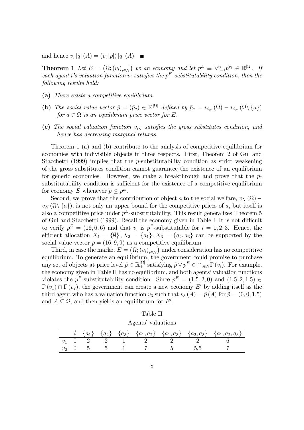and hence  $v_i[q](A) = (v_i[p]) [q](A)$ .

**Theorem 1** Let  $E = (\Omega; (v_i)_{i \in N})$  be an economy and let  $p^E \equiv \vee_{i=1}^n p^{v_i} \in \mathbb{R}^{|\Omega|}$ . If each agent i's valuation function  $v_i$  satisfies the  $p^E$ -substitutability condition, then the following results hold:

- (a) There exists a competitive equilibrium.
- (b) The social value vector  $\bar{p} = (\bar{p}_a) \in \mathbb{R}^{|\Omega|}$  defined by  $\bar{p}_a = v_{i_N}(\Omega) v_{i_N}(\Omega \setminus \{a\})$ for  $a \in \Omega$  is an equilibrium price vector for E.
- (c) The social valuation function  $v_{i_N}$  satisfies the gross substitutes condition, and hence has decreasing marginal returns.

Theorem 1 (a) and (b) contribute to the analysis of competitive equilibrium for economies with indivisible objects in three respects. First, Theorem 2 of Gul and Stacchetti (1999) implies that the *p*-substitutability condition as strict weakening of the gross substitutes condition cannot guarantee the existence of an equilibrium for generic economies. However, we make a breakthrough and prove that the  $p$ substitutability condition is sufficient for the existence of a competitive equilibrium for economy E whenever  $p \leq p^E$ .

Second, we prove that the contribution of object a to the social welfare,  $v_N(\Omega)$  –  $v_N(\Omega \setminus \{a\})$ , is not only an upper bound for the competitive prices of a, but itself is also a competitive price under  $p^E$ -substitutability. This result generalizes Theorem 5 of Gul and Stacchetti  $(1999)$ . Recall the economy given in Table I. It is not difficult to verify  $p^E = (16, 6, 6)$  and that  $v_i$  is  $p^E$ -substitutable for  $i = 1, 2, 3$ . Hence, the efficient allocation  $X_1 = {\emptyset}, X_2 = {a_1}, X_3 = {a_2, a_3}$  can be supported by the social value vector  $\bar{p} = (16, 9, 9)$  as a competitive equilibrium.

Third, in case the market  $E = (\Omega; (v_i)_{i \in N})$  under consideration has no competitive equilibrium. To generate an equilibrium, the government could promise to purchase any set of objects at price level  $\tilde{p} \in \mathbb{R}_+^{|\Omega|}$  satisfying  $\tilde{p} \vee p^E \in \cap_{i \in N} \Gamma(v_i)$ . For example, the economy given in Table II has no equilibrium, and both agents' valuation functions violates the  $p^E$ -substitutability condition. Since  $p^E = (1.5, 2, 0)$  and  $(1.5, 2, 1.5) \in$  $\Gamma(v_1) \cap \Gamma(v_2)$ , the government can create a new economy E' by adding itself as the third agent who has a valuation function  $v_3$  such that  $v_3(A) = \tilde{p}(A)$  for  $\tilde{p} = (0, 0, 1.5)$ and  $A \subseteq \Omega$ , and then yields an equilibrium for E'.

| Agents valuations |           |  |  |  |  |  |                                                                          |  |
|-------------------|-----------|--|--|--|--|--|--------------------------------------------------------------------------|--|
|                   | $\{a_1\}$ |  |  |  |  |  | ${a_2}$ ${a_3}$ ${a_1, a_2}$ ${a_1, a_3}$ ${a_2, a_3}$ ${a_1, a_2, a_3}$ |  |
|                   |           |  |  |  |  |  |                                                                          |  |
|                   |           |  |  |  |  |  |                                                                          |  |

| Table II |  |
|----------|--|
|          |  |

Agentsí valuations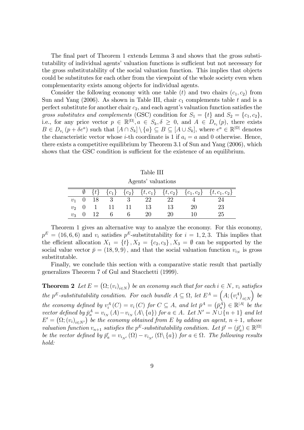The final part of Theorem 1 extends Lemma 3 and shows that the gross substitutability of individual agents' valuation functions is sufficient but not necessary for the gross substitutability of the social valuation function. This implies that objects could be substitutes for each other from the viewpoint of the whole society even when complementarity exists among objects for individual agents.

Consider the following economy with one table (t) and two chairs  $(c_1, c_2)$  from Sun and Yang (2006). As shown in Table III, chair  $c_1$  complements table t and is a perfect substitute for another chair  $c_2$ , and each agent's valuation function satisfies the gross substitutes and complements (GSC) condition for  $S_1 = \{t\}$  and  $S_2 = \{c_1, c_2\}$ , i.e., for any price vector  $p \in \mathbb{R}^{|\Omega|}, a \in S_k, \delta \geq 0$ , and  $A \in D_{v_i}(p)$ , there exists  $B \in D_{v_i}(p + \delta e^a)$  such that  $[A \cap S_k] \setminus \{a\} \subseteq B \subseteq [A \cup S_k]$ , where  $e^a \in \mathbb{R}^{|\Omega|}$  denotes the characteristic vector whose *i*-th coordinate is 1 if  $a_i = a$  and 0 otherwise. Hence, there exists a competitive equilibrium by Theorem 3.1 of Sun and Yang (2006), which shows that the GSC condition is sufficient for the existence of an equilibrium.

|                    | Table III |      |  |  |    |    |  |                                                                                        |  |  |
|--------------------|-----------|------|--|--|----|----|--|----------------------------------------------------------------------------------------|--|--|
| Agents' valuations |           |      |  |  |    |    |  |                                                                                        |  |  |
|                    |           |      |  |  |    |    |  | $\{t\}$ $\{c_1\}$ $\{c_2\}$ $\{t, c_1\}$ $\{t, c_2\}$ $\{c_1, c_2\}$ $\{t, c_1, c_2\}$ |  |  |
| $v_1$ 0            |           | - 18 |  |  |    | 22 |  |                                                                                        |  |  |
| $v_2$              | - 0       |      |  |  | 13 | 13 |  | 23                                                                                     |  |  |

 $v_3$  0 12 6 6 20 20 10 25

Theorem 1 gives an alternative way to analyze the economy. For this economy,  $p^{E} = (16, 6, 6)$  and  $v_i$  satisfies  $p^{E}$ -substitutability for  $i = 1, 2, 3$ . This implies that the efficient allocation  $X_1 = \{t\}$ ,  $X_2 = \{c_2, c_3\}$ ,  $X_3 = \emptyset$  can be supported by the social value vector  $\bar{p} = (18, 9, 9)$ , and that the social valuation function  $v_{i_N}$  is gross substitutable.

Finally, we conclude this section with a comparative static result that partially generalizes Theorem 7 of Gul and Stacchetti (1999).

**Theorem 2** Let  $E = (\Omega; (v_i)_{i \in N})$  be an economy such that for each  $i \in N$ ,  $v_i$  satisfies the  $p^E$ -substitutability condition. For each bundle  $A \subseteq \Omega$ , let  $E^A = (A; (v_i^A)_{i \in N})$  $\Big)$  be the economy defined by  $v_i^A(C) = v_i(C)$  for  $C \subseteq A$ , and let  $\bar{p}^A = (\bar{p}_a^{\dot{A}}) \in \mathbb{R}^{|A|}$  be the vector defined by  $\bar{p}_a^A = v_{i_N}(A) - v_{i_N}(A \setminus \{a\})$  for  $a \in A$ . Let  $N' = N \cup \{n+1\}$  and let  $E' = (\Omega; (v_i)_{i \in N'})$  be the economy obtained from E by adding an agent,  $n + 1$ , whose valuation function  $v_{n+1}$  satisfies the  $p^E$ -substitutability condition. Let  $\bar{p}' = (\bar{p}'_a) \in \mathbb{R}^{|\Omega|}$ be the vector defined by  $\bar{p}'_a = v_{i_{N'}}(\Omega) - v_{i_{N'}}(\Omega \setminus \{a\})$  for  $a \in \Omega$ . The following results hold: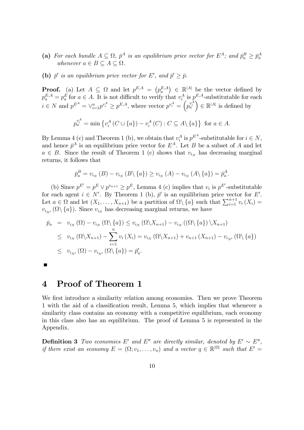- (a) For each bundle  $A \subseteq \Omega$ ,  $\bar{p}^A$  is an equilibrium price vector for  $E^A$ ; and  $\bar{p}_a^B \geq \bar{p}_a^A$ whenever  $a \in B \subseteq A \subseteq \Omega$ .
- (b)  $\bar{p}'$  is an equilibrium price vector for E', and  $\bar{p}' \geq \bar{p}$ .

**Proof.** (a) Let  $A \subseteq \Omega$  and let  $p^{E,A} = (p_a^{E,A}) \in \mathbb{R}^{|A|}$  be the vector defined by  $p_a^{E,A} = p_a^E$  for  $a \in A$ . It is not difficult to verify that  $v_i^A$  is  $p^{E,A}$ -substitutable for each  $i \in N$  and  $p^{E^A} = \vee_{i=1}^n p^{v_i^A} \geq p^{E,A}$ , where vector  $p^{v_i^A} = \left(p_a^{v_i^A}\right) \in \mathbb{R}^{|A|}$  is defined by

$$
p_a^{v_i^A} = \min \{ v_i^A \left( C \cup \{a\} \right) - v_i^A \left( C \right) : C \subseteq A \setminus \{a\} \} \text{ for } a \in A.
$$

By Lemma 4 (c) and Theorem 1 (b), we obtain that  $v_i^A$  is  $p^{E^A}$ -substitutable for  $i \in N$ , and hence  $\bar{p}^A$  is an equilibrium price vector for  $E^A$ . Let B be a subset of A and let  $a \in B$ . Since the result of Theorem 1 (c) shows that  $v_{i_N}$  has decreasing marginal returns, it follows that

$$
\bar{p}_a^B = v_{i_N}(B) - v_{i_N}(B \setminus \{a\}) \ge v_{i_N}(A) - v_{i_N}(A \setminus \{a\}) = \bar{p}_a^A.
$$

(b) Since  $p^{E'} = p^E \vee p^{v_{n+1}} \geq p^E$ , Lemma 4 (c) implies that  $v_i$  is  $p^{E'}$ -substitutable for each agent  $i \in N'$ . By Theorem 1 (b),  $\bar{p}'$  is an equilibrium price vector for E'. Let  $a \in \Omega$  and let  $(X_1, \ldots, X_{n+1})$  be a partition of  $\Omega \setminus \{a\}$  such that  $\sum_{i=1}^{n+1} v_i(X_i) =$  $v_{i_{N'}}(\Omega \setminus \{a\})$ . Since  $v_{i_N}$  has decreasing marginal returns, we have

$$
\bar{p}_a = v_{i_N}(\Omega) - v_{i_N}(\Omega \setminus \{a\}) \le v_{i_N}(\Omega \setminus X_{n+1}) - v_{i_N}((\Omega \setminus \{a\}) \setminus X_{n+1})
$$
\n
$$
\le v_{i_N}(\Omega \setminus X_{n+1}) - \sum_{i=1}^n v_i(X_i) = v_{i_N}(\Omega \setminus X_{n+1}) + v_{n+1}(X_{n+1}) - v_{i_{N'}}(\Omega \setminus \{a\})
$$
\n
$$
\le v_{i_{N'}}(\Omega) - v_{i_{N'}}(\Omega \setminus \{a\}) = \bar{p}_a'.
$$

П

#### 4 Proof of Theorem 1

We first introduce a similarity relation among economies. Then we prove Theorem 1 with the aid of a classification result, Lemma 5, which implies that whenever a similarity class contains an economy with a competitive equilibrium, each economy in this class also has an equilibrium. The proof of Lemma 5 is represented in the Appendix.

**Definition 3** Two economies E' and E'' are directly similar, denoted by  $E' \sim E''$ , if there exist an economy  $E = (\Omega; v_1, \dots, v_n)$  and a vector  $q \in \mathbb{R}^{|\Omega|}$  such that  $E' =$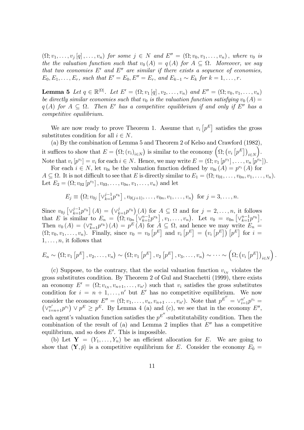$(\Omega; v_1, \ldots, v_j [q], \ldots, v_n)$  for some  $j \in N$  and  $E'' = (\Omega; v_0, v_1, \ldots, v_n)$ , where  $v_0$  is the the valuation function such that  $v_0(A) = q(A)$  for  $A \subseteq \Omega$ . Moreover, we say that two economies  $E'$  and  $E''$  are similar if there exists a sequence of economies,  $E_0, E_1, \ldots, E_r$ , such that  $E' = E_0, E'' = E_r$ , and  $E_{k-1} \sim E_k$  for  $k = 1, \ldots, r$ .

**Lemma 5** Let  $q \in \mathbb{R}^{|\Omega|}$ . Let  $E' = (\Omega; v_1[q], v_2, \dots, v_n)$  and  $E'' = (\Omega; v_0, v_1, \dots, v_n)$ be directly similar economies such that  $v_0$  is the valuation function satisfying  $v_0(A)$  =  $q(A)$  for  $A \subseteq \Omega$ . Then E' has a competitive equilibrium if and only if E'' has a competitive equilibrium.

We are now ready to prove Theorem 1. Assume that  $v_i$   $[p^E]$  satisfies the gross substitutes condition for all  $i \in N$ .

(a) By the combination of Lemma 5 and Theorem 2 of Kelso and Crawford (1982), it suffices to show that  $E = (\Omega; (v_i)_{i \in N})$  is similar to the economy  $(\Omega; (v_i [p^E])_{i \in N})$  $\big)$ . Note that  $v_i[p^{v_i}] = v_i$  for each  $i \in N$ . Hence, we may write  $E = (\Omega; v_1[p^{v_1}], \ldots, v_n[p^{v_n}]).$ 

For each  $i \in N$ , let  $v_{0i}$  be the valuation function defined by  $v_{0i} (A) = p^{v_i} (A)$  for  $A \subseteq \Omega$ . It is not difficult to see that E is directly similar to  $E_1 = (\Omega; v_{01}, \ldots, v_{0n}, v_1, \ldots, v_n)$ . Let  $E_2 = (\Omega; v_{02} [p^{v_1}], v_{03}, \ldots, v_{0n}, v_1, \ldots, v_n)$  and let

$$
E_j \equiv \left(\Omega; v_{0j} \left[\vee_{k=1}^{j-1} p^{v_k}\right], v_{0(j+1)}, \ldots, v_{0n}, v_1, \ldots, v_n\right) \text{ for } j = 3, \ldots, n.
$$

Since  $v_{0j} \left[ \vee_{k=1}^{j-1} p^{v_k} \right]$   $(A) = \left( \vee_{k=1}^{j} p^{v_k} \right]$  $(A)$  for  $A \subseteq \Omega$  and for  $j = 2, \ldots, n$ , it follows that E is similar to  $E_n = (\Omega; v_{0n}[(v_{k=1}^{n-1}p^{v_k}], v_1, \ldots, v_n])$ . Let  $v_0 = v_{0n}[(v_{k=1}^{n-1}p^{v_k}].$ Then  $v_0(A) = (\vee_{k=1}^n p^{v_k})(A) = p^E(A)$  for  $A \subseteq \Omega$ , and hence we may write  $E_n =$  $(0; v_0, v_1, \ldots, v_n)$ . Finally, since  $v_0 = v_0 [p^E]$  and  $v_i [p^E] = (v_i [p^E]) [p^E]$  for  $i =$  $1, \ldots, n$ , it follows that

$$
E_n \sim (\Omega; v_1[p^E], v_2, \dots, v_n) \sim (\Omega; v_1[p^E], v_2[p^E], v_3, \dots, v_n) \sim \dots \sim (\Omega; (v_i[p^E])_{i \in N}).
$$

(c) Suppose, to the contrary, that the social valuation function  $v_{i_N}$  violates the gross substitutes condition. By Theorem 2 of Gul and Stacchetti (1999), there exists an economy  $E' = (\Omega; v_{i_N}, v_{n+1}, \dots, v_{n'})$  such that  $v_i$  satisfies the gross substitutes condition for  $i = n + 1, \ldots, n'$  but E' has no competitive equilibrium. We now consider the economy  $E'' = (\Omega; v_1, \ldots, v_n, v_{n+1}, \ldots, v_{n'})$ . Note that  $p^{E''} = \vee_{i=1}^{n'} p^{v_i} = (\vee_{i=n+1}^{n'} p^{v_i}) \vee p^{E} \geq p^{E}$ . By Lemma 4 (a) and (c), we see that in the economy  $E''$ , each agent's valuation function satisfies the  $p^{E''}$ -substitutability condition. Then the combination of the result of (a) and Lemma 2 implies that  $E''$  has a competitive equilibrium, and so does  $E'$ . This is impossible.

(b) Let  $Y = (Y_1, \ldots, Y_n)$  be an efficient allocation for E. We are going to show that  $\langle \mathbf{Y}, \bar{p} \rangle$  is a competitive equilibrium for E. Consider the economy  $E_0 =$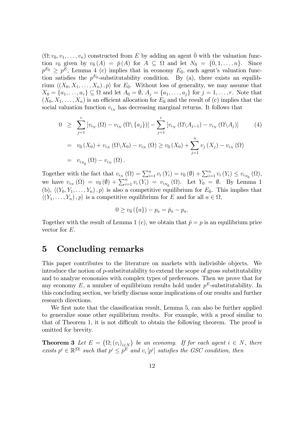$(\Omega; v_0, v_1, \ldots, v_n)$  constructed from E by adding an agent  $\overline{0}$  with the valuation function  $v_{\bar{0}}$  given by  $v_{\bar{0}}(A) = \bar{p}(A)$  for  $A \subseteq \Omega$  and let  $N_{\bar{0}} = {\bar{0}, 1, ..., n}$ . Since  $p^{E_0} \geq p^E$ , Lemma 4 (c) implies that in economy  $E_0$ , each agent's valuation function satisfies the  $p^{E_{\bar{0}}}$ -substitutability condition. By (a), there exists an equilibrium  $\langle (X_0, X_1, \ldots, X_n), p \rangle$  for  $E_{\bar{0}}$ . Without loss of generality, we may assume that  $X_0 = \{a_1, \ldots, a_r\} \subseteq \Omega$  and let  $A_0 = \emptyset$ ,  $A_j = \{a_1, \ldots, a_j\}$  for  $j = 1, \ldots, r$ . Note that  $(X_0, X_1, \ldots, X_n)$  is an efficient allocation for  $E_0$  and the result of (c) implies that the social valuation function  $v_{i_N}$  has decreasing marginal returns. It follows that

$$
0 \geq \sum_{j=1}^{r} \left[ v_{i_N} (\Omega) - v_{i_N} (\Omega \setminus \{a_j\}) \right] - \sum_{j=1}^{r} \left[ v_{i_N} (\Omega \setminus A_{j-1}) - v_{i_N} (\Omega \setminus A_j) \right] \tag{4}
$$
  
=  $v_{\overline{0}}(X_0) + v_{i_N} (\Omega \setminus X_0) - v_{i_N} (\Omega) \geq v_{\overline{0}}(X_0) + \sum_{j=1}^{n} v_j (X_j) - v_{i_N} (\Omega)$   
=  $v_{i_{N_{\overline{0}}}}(\Omega) - v_{i_N}(\Omega).$ 

Together with the fact that  $v_{i_N}(\Omega) = \sum_{i=1}^n v_i(Y_i) = v_{\overline{0}}(\emptyset) + \sum_{i=1}^n v_i(Y_i) \leq v_{i_{N_{\overline{0}}}}(\Omega)$ , we have  $v_{i_N}(\Omega) = v_0(\emptyset) + \sum_{i=1}^n v_i(Y_i) = v_{i_{N_0}}(\Omega)$ . Let  $Y_0 = \emptyset$ . By Lemma 1 (b),  $\langle (Y_0, Y_1, \ldots, Y_n), p \rangle$  is also a competitive equilibrium for  $E_{\bar{0}}$ . This implies that  $\langle (Y_1, \ldots, Y_n) , p \rangle$  is a competitive equilibrium for E and for all  $a \in \Omega$ ,

$$
0 \ge v_{\bar{0}} (\{a\}) - p_a = \bar{p}_a - p_a.
$$

Together with the result of Lemma 1 (c), we obtain that  $\bar{p} = p$  is an equilibrium price vector for E.

#### 5 Concluding remarks

This paper contributes to the literature on markets with indivisible objects. We introduce the notion of p-substitutability to extend the scope of gross substitutability and to analyze economies with complex types of preferences. Then we prove that for any economy  $E$ , a number of equilibrium results hold under  $p<sup>E</sup>$ -substitutability. In this concluding section, we briefly discuss some implications of our results and further research directions.

We first note that the classification result, Lemma 5, can also be further applied to generalize some other equilibrium results. For example, with a proof similar to that of Theorem 1, it is not difficult to obtain the following theorem. The proof is omitted for brevity.

**Theorem 3** Let  $E = (\Omega; (v_i)_{i \in N})$  be an economy. If for each agent  $i \in N$ , there exists  $p^i \in \mathbb{R}^{|\Omega|}$  such that  $p^i \leq p^{\overline{E}}$  and  $v_i[p^i]$  satisfies the GSC condition, then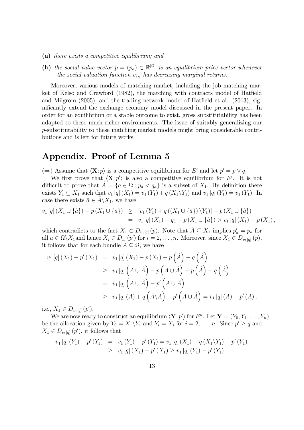- (a) there exists a competitive equilibrium; and
- (b) the social value vector  $\bar{p} = (\bar{p}_a) \in \mathbb{R}^{|\Omega|}$  is an equilibrium price vector whenever the social valuation function  $v_{i_N}$  has decreasing marginal returns.

Moreover, various models of matching market, including the job matching market of Kelso and Crawford (1982), the matching with contracts model of Hatfield and Milgrom  $(2005)$ , and the trading network model of Hatfield et al.  $(2013)$ , significantly extend the exchange economy model discussed in the present paper. In order for an equilibrium or a stable outcome to exist, gross substitutability has been adapted to these much richer environments. The issue of suitably generalizing our p-substitutability to these matching market models might bring considerable contributions and is left for future works.

#### Appendix. Proof of Lemma 5

 $(\Rightarrow)$  Assume that  $\langle \mathbf{X}; p \rangle$  is a competitive equilibrium for E' and let  $p' = p \vee q$ .

We first prove that  $\langle \mathbf{X}; p' \rangle$  is also a competitive equilibrium for E'. It is not difficult to prove that  $\hat{A} = \{a \in \Omega : p_a < q_a\}$  is a subset of  $X_1$ . By definition there exists  $Y_1 \subseteq X_1$  such that  $v_1 [q] (X_1) = v_1 (Y_1) + q (X_1 \backslash Y_1)$  and  $v_1 [q] (Y_1) = v_1 (Y_1)$ . In case there exists  $\hat{a} \in A \backslash X_1$ , we have

$$
v_1 [q] (X_1 \cup {\hat{a}}) - p(X_1 \cup {\hat{a}}) \geq [v_1(Y_1) + q((X_1 \cup {\hat{a}}) \setminus Y_1)] - p(X_1 \cup {\hat{a}})
$$
  
= 
$$
v_1 [q] (X_1) + q_{\hat{a}} - p(X_1 \cup {\hat{a}}) > v_1 [q] (X_1) - p(X_1),
$$

which contradicts to the fact  $X_1 \in D_{v_1[q]}(p)$ . Note that  $\hat{A} \subseteq X_1$  implies  $p'_a = p_a$  for all  $a \in \Omega \backslash X_1$  and hence  $X_i \in D_{v_i}(p')$  for  $i = 2, \ldots, n$ . Moreover, since  $X_1 \in D_{v_1[q]}(p)$ , it follows that for each bundle  $A \subseteq \Omega$ , we have

$$
v_{1}[q](X_{1}) - p'(X_{1}) = v_{1}[q](X_{1}) - p(X_{1}) + p(\hat{A}) - q(\hat{A})
$$
  
\n
$$
\geq v_{1}[q](A \cup \hat{A}) - p(A \cup \hat{A}) + p(\hat{A}) - q(\hat{A})
$$
  
\n
$$
= v_{1}[q](A \cup \hat{A}) - p'(A \cup \hat{A})
$$
  
\n
$$
\geq v_{1}[q](A) + q(\hat{A}\setminus A) - p'(A \cup \hat{A}) = v_{1}[q](A) - p'(A),
$$

i.e.,  $X_1 \in D_{v_1[q]}(p').$ 

We are now ready to construct an equilibrium  $\langle \mathbf{Y}, p' \rangle$  for E''. Let  $\mathbf{Y} = (Y_0, Y_1, \ldots, Y_n)$ be the allocation given by  $Y_0 = X_1 \backslash Y_1$  and  $Y_i = X_i$  for  $i = 2, ..., n$ . Since  $p' \ge q$  and  $X_1 \in D_{v_1[q]}(p')$ , it follows that

$$
v_1 [q] (Y_1) - p'(Y_1) = v_1 (Y_1) - p'(Y_1) = v_1 [q] (X_1) - q(X_1 \backslash Y_1) - p'(Y_1)
$$
  
\n
$$
\geq v_1 [q] (X_1) - p'(X_1) \geq v_1 [q] (Y_1) - p'(Y_1).
$$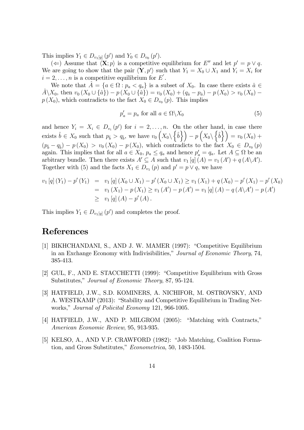This implies  $Y_1 \in D_{v_1[q]}(p')$  and  $Y_0 \in D_{v_0}(p')$ .

( $\Leftarrow$ ) Assume that  $\langle \mathbf{X}; p \rangle$  is a competitive equilibrium for E'' and let  $p' = p \vee q$ . We are going to show that the pair  $\langle \mathbf{Y}, p' \rangle$  such that  $Y_1 = X_0 \cup X_1$  and  $Y_i = X_i$  for  $i = 2, \ldots, n$  is a competitive equilibrium for E'.

We note that  $\hat{A} = \{a \in \Omega : p_a < q_a\}$  is a subset of  $X_0$ . In case there exists  $\hat{a} \in$  $\hat{A}\backslash X_0$ , then  $v_0 (X_0 \cup {\hat{a}}) - p (X_0 \cup {\hat{a}}) = v_0 (X_0) + (q_{\hat{a}} - p_{\hat{a}}) - p (X_0) > v_0 (X_0)$  $p(X_0)$ , which contradicts to the fact  $X_0 \in D_{v_0}(p)$ . This implies

$$
p'_a = p_a \text{ for all } a \in \Omega \backslash X_0 \tag{5}
$$

and hence  $Y_i = X_i \in D_{v_i}(p')$  for  $i = 2, \ldots, n$ . On the other hand, in case there exists  $\hat{b} \in X_0$  such that  $p_{\hat{b}} > q_{\hat{b}}$ , we have  $v_0(X_0 \setminus {\hat{b}}) - p(X_0 \setminus {\hat{b}}) = v_0(X_0) +$  $(p_b - q_b) - p(X_0) > v_0(X_0) - p(X_0)$ , which contradicts to the fact  $X_0 \in D_{v_0}(p)$ again. This implies that for all  $a \in X_0$ ,  $p_a \le q_a$  and hence  $p'_a = q_a$ . Let  $A \subseteq \Omega$  be an arbitrary bundle. Then there exists  $A' \subseteq A$  such that  $v_1[q](A) = v_1(A') + q(A \setminus A')$ . Together with (5) and the facts  $X_1 \in D_{v_1}(p)$  and  $p' = p \vee q$ , we have

$$
v_1 [q] (Y_1) - p'(Y_1) = v_1 [q] (X_0 \cup X_1) - p'(X_0 \cup X_1) \ge v_1 (X_1) + q(X_0) - p'(X_1) - p'(X_0)
$$
  
=  $v_1 (X_1) - p(X_1) \ge v_1 (A') - p(A') = v_1 [q] (A) - q(A \setminus A') - p(A')$   
 $\ge v_1 [q] (A) - p'(A).$ 

This implies  $Y_1 \in D_{v_1[q]}(p')$  and completes the proof.

#### References

- [1] BIKHCHANDANI, S., AND J. W. MAMER (1997): "Competitive Equilibrium in an Exchange Economy with Indivisibilities," Journal of Economic Theory, 74, 385-413.
- [2] GUL, F., AND E. STACCHETTI (1999): "Competitive Equilibrium with Gross Substitutes," Journal of Economic Theory, 87, 95-124.
- [3] HATFIELD, J.W., S.D. KOMINERS, A. NICHIFOR, M. OSTROVSKY, AND A. WESTKAMP (2013): "Stability and Competitive Equilibrium in Trading Networks," Journal of Policital Economy 121, 966-1005.
- $[4]$  HATFIELD, J.W., AND P. MILGROM  $(2005)$ : "Matching with Contracts," American Economic Review, 95, 913-935.
- [5] KELSO, A., AND V.P. CRAWFORD (1982): "Job Matching, Coalition Formation, and Gross Substitutes," Econometrica, 50, 1483-1504.